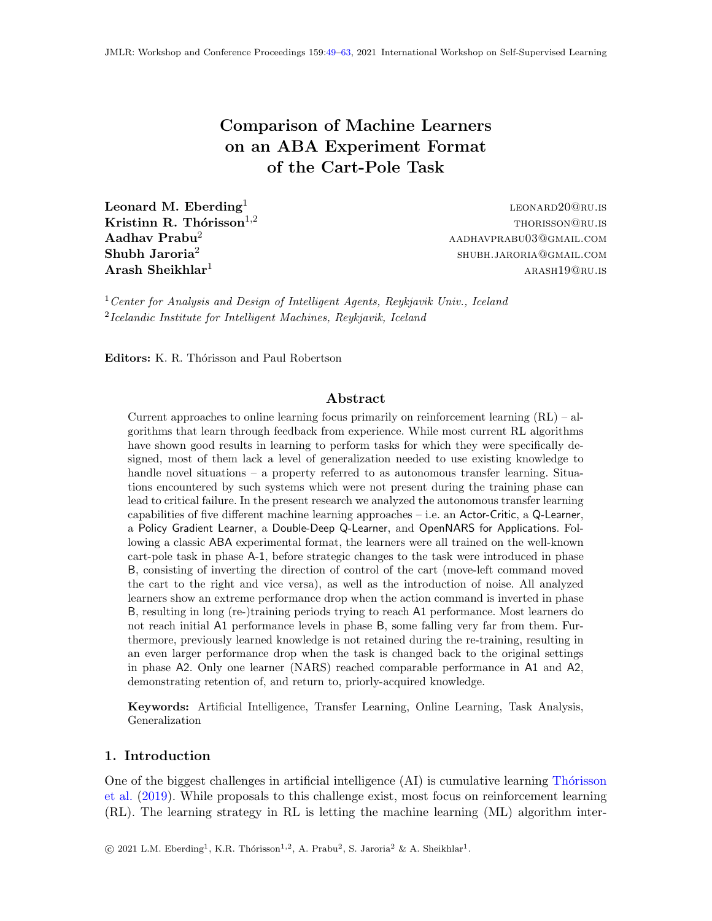Comparison of Machine Learners on an ABA Experiment Format of the Cart-Pole Task

<span id="page-0-0"></span>Leonard M. Eberding<sup>1</sup> Shubh Jaroria $^2$ 

leonard20@ru.is **Kristinn R. Thórisson**<sup>1,2</sup> thoristic extended to the thoristic extended to the thorism of thorism of the thorism of the thorism of the thorism of the thorism of the thorism of the thorism of the thorism of the thorism o  $\bf A$ adhav Prabu<sup>2</sup> aadhavprabu03@gmail.com shubh.jaroria@gmail.com  $\bf{Arash}$  Sheikhlar<sup>1</sup> arash $\rm{Arasn19@RU.IS}$ 

 $1$  Center for Analysis and Design of Intelligent Agents, Reykjavik Univ., Iceland <sup>2</sup>Icelandic Institute for Intelligent Machines, Reykjavik, Iceland

Editors: K. R. Thórisson and Paul Robertson

### Abstract

Current approaches to online learning focus primarily on reinforcement learning  $(RL)$  – algorithms that learn through feedback from experience. While most current RL algorithms have shown good results in learning to perform tasks for which they were specifically designed, most of them lack a level of generalization needed to use existing knowledge to handle novel situations – a property referred to as autonomous transfer learning. Situations encountered by such systems which were not present during the training phase can lead to critical failure. In the present research we analyzed the autonomous transfer learning capabilities of five different machine learning approaches – i.e. an Actor-Critic, a Q-Learner, a Policy Gradient Learner, a Double-Deep Q-Learner, and OpenNARS for Applications. Following a classic ABA experimental format, the learners were all trained on the well-known cart-pole task in phase A-1, before strategic changes to the task were introduced in phase B, consisting of inverting the direction of control of the cart (move-left command moved the cart to the right and vice versa), as well as the introduction of noise. All analyzed learners show an extreme performance drop when the action command is inverted in phase B, resulting in long (re-)training periods trying to reach A1 performance. Most learners do not reach initial A1 performance levels in phase B, some falling very far from them. Furthermore, previously learned knowledge is not retained during the re-training, resulting in an even larger performance drop when the task is changed back to the original settings in phase A2. Only one learner (NARS) reached comparable performance in A1 and A2, demonstrating retention of, and return to, priorly-acquired knowledge.

Keywords: Artificial Intelligence, Transfer Learning, Online Learning, Task Analysis, Generalization

### 1. Introduction

One of the biggest challenges in artificial intelligence  $(AI)$  is cumulative learning Thórisson [et al.](#page-14-1) [\(2019\)](#page-14-1). While proposals to this challenge exist, most focus on reinforcement learning (RL). The learning strategy in RL is letting the machine learning (ML) algorithm inter-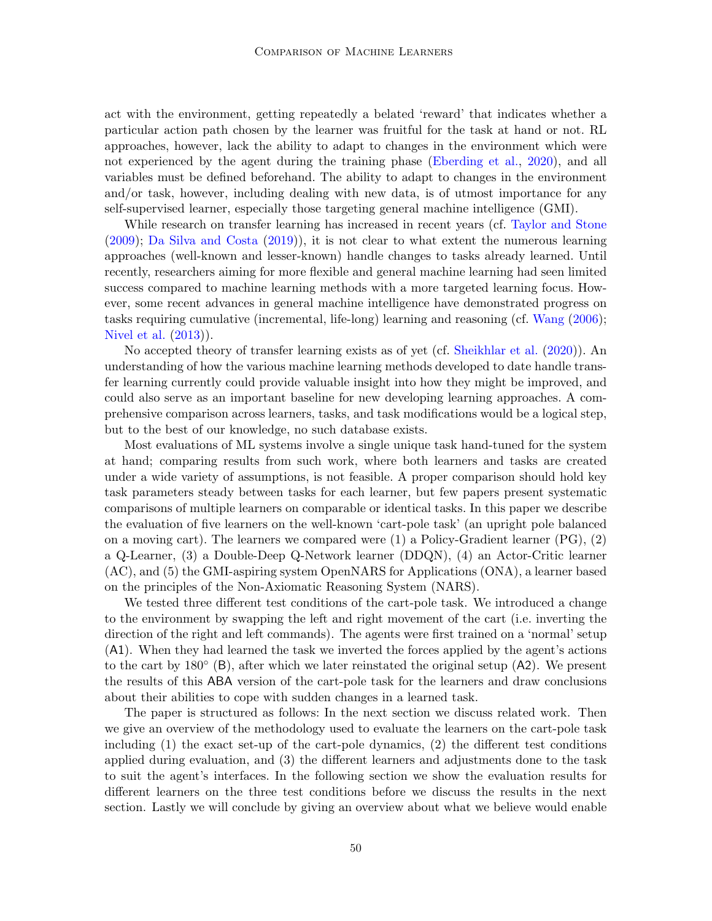act with the environment, getting repeatedly a belated 'reward' that indicates whether a particular action path chosen by the learner was fruitful for the task at hand or not. RL approaches, however, lack the ability to adapt to changes in the environment which were not experienced by the agent during the training phase [\(Eberding et al.,](#page-13-0) [2020\)](#page-13-0), and all variables must be defined beforehand. The ability to adapt to changes in the environment and/or task, however, including dealing with new data, is of utmost importance for any self-supervised learner, especially those targeting general machine intelligence (GMI).

While research on transfer learning has increased in recent years (cf. [Taylor and Stone](#page-14-2) [\(2009\)](#page-14-2); [Da Silva and Costa](#page-13-1) [\(2019\)](#page-13-1)), it is not clear to what extent the numerous learning approaches (well-known and lesser-known) handle changes to tasks already learned. Until recently, researchers aiming for more flexible and general machine learning had seen limited success compared to machine learning methods with a more targeted learning focus. However, some recent advances in general machine intelligence have demonstrated progress on tasks requiring cumulative (incremental, life-long) learning and reasoning (cf. [Wang](#page-14-3) [\(2006\)](#page-14-3); [Nivel et al.](#page-13-2) [\(2013\)](#page-13-2)).

No accepted theory of transfer learning exists as of yet (cf. [Sheikhlar et al.](#page-14-4) [\(2020\)](#page-14-4)). An understanding of how the various machine learning methods developed to date handle transfer learning currently could provide valuable insight into how they might be improved, and could also serve as an important baseline for new developing learning approaches. A comprehensive comparison across learners, tasks, and task modifications would be a logical step, but to the best of our knowledge, no such database exists.

Most evaluations of ML systems involve a single unique task hand-tuned for the system at hand; comparing results from such work, where both learners and tasks are created under a wide variety of assumptions, is not feasible. A proper comparison should hold key task parameters steady between tasks for each learner, but few papers present systematic comparisons of multiple learners on comparable or identical tasks. In this paper we describe the evaluation of five learners on the well-known 'cart-pole task' (an upright pole balanced on a moving cart). The learners we compared were  $(1)$  a Policy-Gradient learner  $(PG)$ ,  $(2)$ a Q-Learner, (3) a Double-Deep Q-Network learner (DDQN), (4) an Actor-Critic learner (AC), and (5) the GMI-aspiring system OpenNARS for Applications (ONA), a learner based on the principles of the Non-Axiomatic Reasoning System (NARS).

We tested three different test conditions of the cart-pole task. We introduced a change to the environment by swapping the left and right movement of the cart (i.e. inverting the direction of the right and left commands). The agents were first trained on a 'normal' setup (A1). When they had learned the task we inverted the forces applied by the agent's actions to the cart by 180◦ (B), after which we later reinstated the original setup (A2). We present the results of this ABA version of the cart-pole task for the learners and draw conclusions about their abilities to cope with sudden changes in a learned task.

The paper is structured as follows: In the next section we discuss related work. Then we give an overview of the methodology used to evaluate the learners on the cart-pole task including (1) the exact set-up of the cart-pole dynamics, (2) the different test conditions applied during evaluation, and (3) the different learners and adjustments done to the task to suit the agent's interfaces. In the following section we show the evaluation results for different learners on the three test conditions before we discuss the results in the next section. Lastly we will conclude by giving an overview about what we believe would enable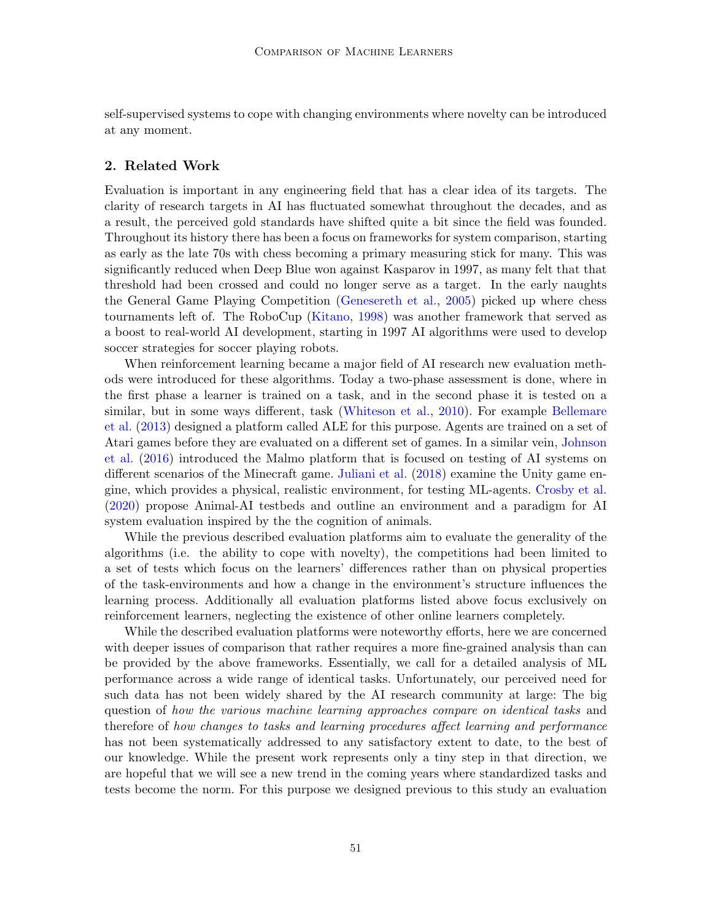self-supervised systems to cope with changing environments where novelty can be introduced at any moment.

### 2. Related Work

Evaluation is important in any engineering field that has a clear idea of its targets. The clarity of research targets in AI has fluctuated somewhat throughout the decades, and as a result, the perceived gold standards have shifted quite a bit since the field was founded. Throughout its history there has been a focus on frameworks for system comparison, starting as early as the late 70s with chess becoming a primary measuring stick for many. This was significantly reduced when Deep Blue won against Kasparov in 1997, as many felt that that threshold had been crossed and could no longer serve as a target. In the early naughts the General Game Playing Competition [\(Genesereth et al.,](#page-13-3) [2005\)](#page-13-3) picked up where chess tournaments left of. The RoboCup [\(Kitano,](#page-13-4) [1998\)](#page-13-4) was another framework that served as a boost to real-world AI development, starting in 1997 AI algorithms were used to develop soccer strategies for soccer playing robots.

When reinforcement learning became a major field of AI research new evaluation methods were introduced for these algorithms. Today a two-phase assessment is done, where in the first phase a learner is trained on a task, and in the second phase it is tested on a similar, but in some ways different, task [\(Whiteson et al.,](#page-14-5) [2010\)](#page-14-5). For example [Bellemare](#page-13-5) [et al.](#page-13-5) [\(2013\)](#page-13-5) designed a platform called ALE for this purpose. Agents are trained on a set of Atari games before they are evaluated on a different set of games. In a similar vein, [Johnson](#page-13-6) [et al.](#page-13-6) [\(2016\)](#page-13-6) introduced the Malmo platform that is focused on testing of AI systems on different scenarios of the Minecraft game. [Juliani et al.](#page-13-7) [\(2018\)](#page-13-7) examine the Unity game engine, which provides a physical, realistic environment, for testing ML-agents. [Crosby et al.](#page-13-8) [\(2020\)](#page-13-8) propose Animal-AI testbeds and outline an environment and a paradigm for AI system evaluation inspired by the the cognition of animals.

While the previous described evaluation platforms aim to evaluate the generality of the algorithms (i.e. the ability to cope with novelty), the competitions had been limited to a set of tests which focus on the learners' differences rather than on physical properties of the task-environments and how a change in the environment's structure influences the learning process. Additionally all evaluation platforms listed above focus exclusively on reinforcement learners, neglecting the existence of other online learners completely.

While the described evaluation platforms were noteworthy efforts, here we are concerned with deeper issues of comparison that rather requires a more fine-grained analysis than can be provided by the above frameworks. Essentially, we call for a detailed analysis of ML performance across a wide range of identical tasks. Unfortunately, our perceived need for such data has not been widely shared by the AI research community at large: The big question of how the various machine learning approaches compare on identical tasks and therefore of how changes to tasks and learning procedures affect learning and performance has not been systematically addressed to any satisfactory extent to date, to the best of our knowledge. While the present work represents only a tiny step in that direction, we are hopeful that we will see a new trend in the coming years where standardized tasks and tests become the norm. For this purpose we designed previous to this study an evaluation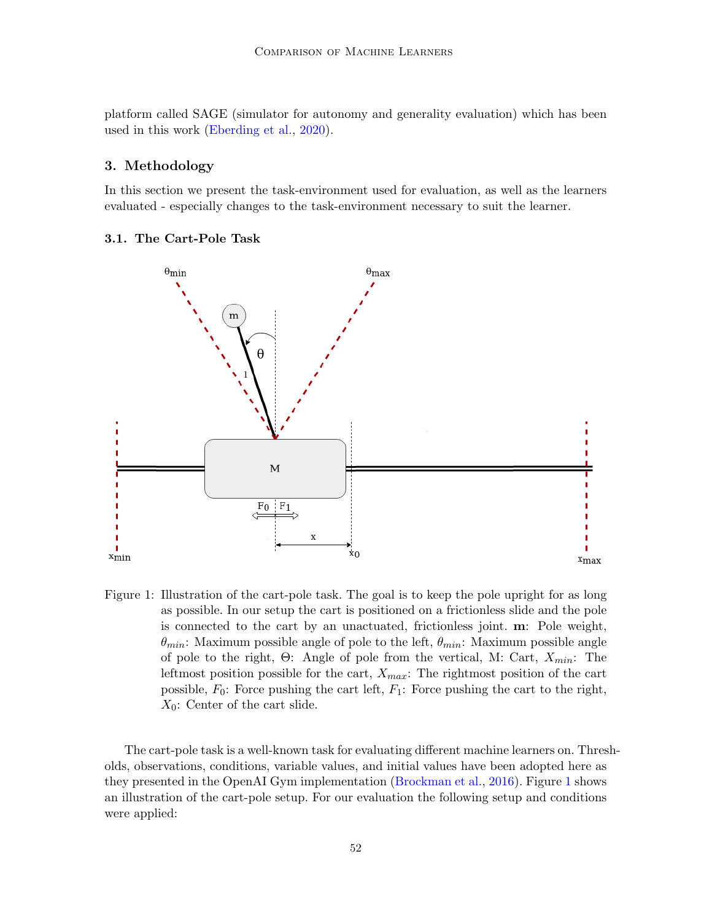platform called SAGE (simulator for autonomy and generality evaluation) which has been used in this work [\(Eberding et al.,](#page-13-0) [2020\)](#page-13-0).

### 3. Methodology

In this section we present the task-environment used for evaluation, as well as the learners evaluated - especially changes to the task-environment necessary to suit the learner.

### 3.1. The Cart-Pole Task



<span id="page-3-0"></span>Figure 1: Illustration of the cart-pole task. The goal is to keep the pole upright for as long as possible. In our setup the cart is positioned on a frictionless slide and the pole is connected to the cart by an unactuated, frictionless joint. m: Pole weight,  $\theta_{min}$ : Maximum possible angle of pole to the left,  $\theta_{min}$ : Maximum possible angle of pole to the right, Θ: Angle of pole from the vertical, M: Cart,  $X_{min}$ : The leftmost position possible for the cart,  $X_{max}$ : The rightmost position of the cart possible,  $F_0$ : Force pushing the cart left,  $F_1$ : Force pushing the cart to the right,  $X_0$ : Center of the cart slide.

The cart-pole task is a well-known task for evaluating different machine learners on. Thresholds, observations, conditions, variable values, and initial values have been adopted here as they presented in the OpenAI Gym implementation [\(Brockman et al.,](#page-13-9) [2016\)](#page-13-9). Figure [1](#page-3-0) shows an illustration of the cart-pole setup. For our evaluation the following setup and conditions were applied: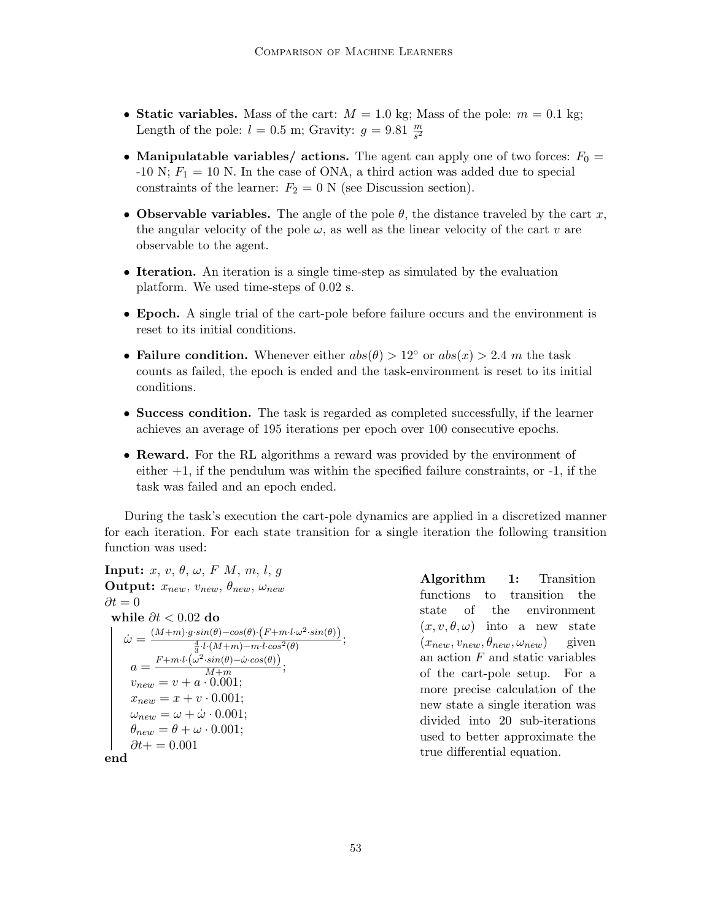- Static variables. Mass of the cart:  $M = 1.0$  kg; Mass of the pole:  $m = 0.1$  kg; Length of the pole:  $l = 0.5$  m; Gravity:  $g = 9.81 \frac{m}{s^2}$
- Manipulatable variables/ actions. The agent can apply one of two forces:  $F_0 =$  $-10$  N;  $F_1 = 10$  N. In the case of ONA, a third action was added due to special constraints of the learner:  $F_2 = 0$  N (see Discussion section).
- Observable variables. The angle of the pole  $\theta$ , the distance traveled by the cart x, the angular velocity of the pole  $\omega$ , as well as the linear velocity of the cart v are observable to the agent.
- Iteration. An iteration is a single time-step as simulated by the evaluation platform. We used time-steps of 0.02 s.
- Epoch. A single trial of the cart-pole before failure occurs and the environment is reset to its initial conditions.
- Failure condition. Whenever either  $abs(\theta) > 12^{\circ}$  or  $abs(x) > 2.4$  m the task counts as failed, the epoch is ended and the task-environment is reset to its initial conditions.
- Success condition. The task is regarded as completed successfully, if the learner achieves an average of 195 iterations per epoch over 100 consecutive epochs.
- **Reward.** For the RL algorithms a reward was provided by the environment of either  $+1$ , if the pendulum was within the specified failure constraints, or  $-1$ , if the task was failed and an epoch ended.

During the task's execution the cart-pole dynamics are applied in a discretized manner for each iteration. For each state transition for a single iteration the following transition function was used:

```
Input: x, v, \theta, \omega, F, M, m, l, qOutput: x_{new}, v_{new}, \theta_{new}, \omega_{new}\partial t = 0while \partial t < 0.02 do
\dot{\omega} = \frac{(M+m)\cdot g\cdot sin(\theta) - cos(\theta)\cdot (F+m\cdot l\cdot \omega^2\cdot sin(\theta))}{\frac{4}{3}\cdot l\cdot (M+m)-m\cdot l\cdot cos^2(\theta)};a = \frac{F + m \cdot l \cdot (\omega^2 \cdot sin(\theta) - \dot{\omega} \cdot cos(\theta))}{M + m}\frac{m(\sigma)-\omega\cdot cos(\sigma)}{M+m};v_{new} = v + a \cdot 0.001;x_{new} = x + v \cdot 0.001;\omega_{new} = \omega + \dot{\omega} \cdot 0.001;\theta_{new} = \theta + \omega \cdot 0.001;\partial t+=0.001end
```
Algorithm 1: Transition functions to transition the state of the environment  $(x, v, \theta, \omega)$  into a new state  $(x_{new}, v_{new}, \theta_{new}, \omega_{new})$  given an action  $F$  and static variables of the cart-pole setup. For a more precise calculation of the new state a single iteration was divided into 20 sub-iterations used to better approximate the true differential equation.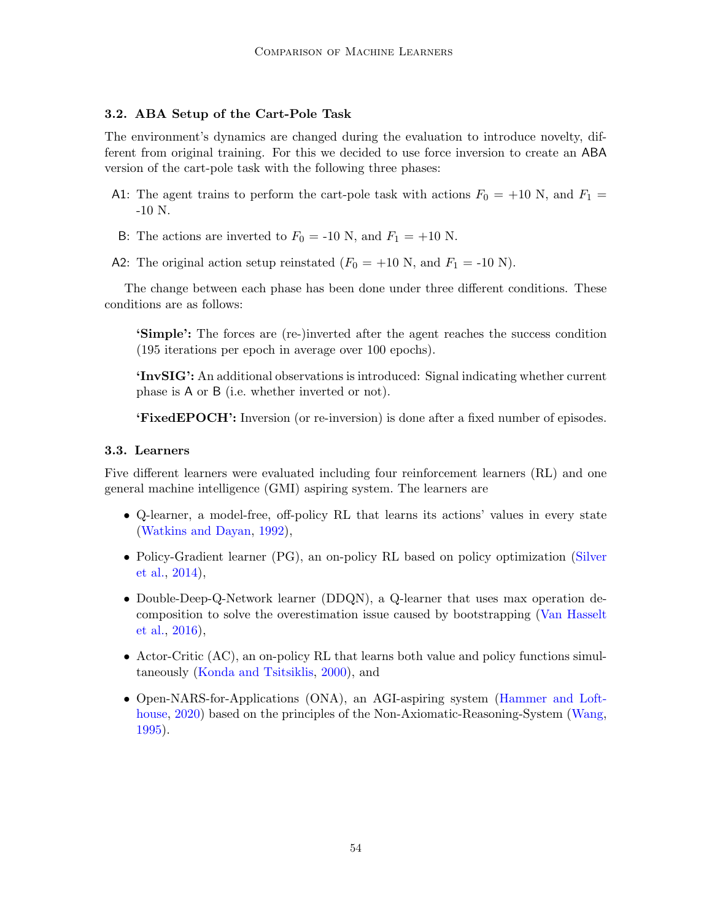### 3.2. ABA Setup of the Cart-Pole Task

The environment's dynamics are changed during the evaluation to introduce novelty, different from original training. For this we decided to use force inversion to create an ABA version of the cart-pole task with the following three phases:

- A1: The agent trains to perform the cart-pole task with actions  $F_0 = +10$  N, and  $F_1 =$ -10 N.
- B: The actions are inverted to  $F_0 = -10$  N, and  $F_1 = +10$  N.
- A2: The original action setup reinstated  $(F_0 = +10 \text{ N}, \text{ and } F_1 = -10 \text{ N}).$

The change between each phase has been done under three different conditions. These conditions are as follows:

'Simple': The forces are (re-)inverted after the agent reaches the success condition (195 iterations per epoch in average over 100 epochs).

'InvSIG': An additional observations is introduced: Signal indicating whether current phase is A or B (i.e. whether inverted or not).

'FixedEPOCH': Inversion (or re-inversion) is done after a fixed number of episodes.

### 3.3. Learners

Five different learners were evaluated including four reinforcement learners (RL) and one general machine intelligence (GMI) aspiring system. The learners are

- Q-learner, a model-free, off-policy RL that learns its actions' values in every state [\(Watkins and Dayan,](#page-14-6) [1992\)](#page-14-6),
- Policy-Gradient learner (PG), an on-policy RL based on policy optimization [\(Silver](#page-14-7) [et al.,](#page-14-7) [2014\)](#page-14-7),
- Double-Deep-Q-Network learner (DDQN), a Q-learner that uses max operation decomposition to solve the overestimation issue caused by bootstrapping [\(Van Hasselt](#page-14-8) [et al.,](#page-14-8) [2016\)](#page-14-8),
- Actor-Critic (AC), an on-policy RL that learns both value and policy functions simultaneously [\(Konda and Tsitsiklis,](#page-13-10) [2000\)](#page-13-10), and
- Open-NARS-for-Applications (ONA), an AGI-aspiring system [\(Hammer and Loft](#page-13-11)[house,](#page-13-11) [2020\)](#page-13-11) based on the principles of the Non-Axiomatic-Reasoning-System [\(Wang,](#page-14-9) [1995\)](#page-14-9).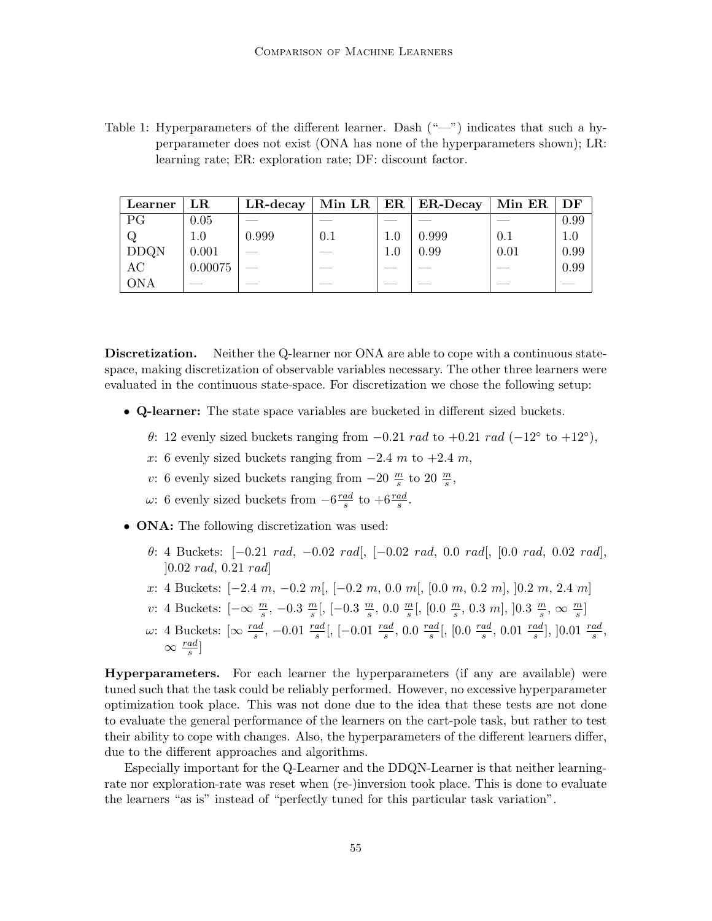Table 1: Hyperparameters of the different learner. Dash  $(\text{``} \text{—''})$  indicates that such a hyperparameter does not exist (ONA has none of the hyperparameters shown); LR: learning rate; ER: exploration rate; DF: discount factor.

| Learner     | $_{\rm LR}$ |       |     |     | LR-decay   Min LR   ER   ER-Decay   Min ER   DF |      |      |
|-------------|-------------|-------|-----|-----|-------------------------------------------------|------|------|
| PG          | 0.05        |       |     |     |                                                 |      | 0.99 |
|             | $1.0\,$     | 0.999 | 0.1 | 1.0 | 0.999                                           | 0.1  |      |
| <b>DDQN</b> | 0.001       |       |     | 1.0 | 0.99                                            | 0.01 | 0.99 |
| AC          | 0.00075     |       |     |     |                                                 |      | 0.99 |
| <b>ONA</b>  |             |       |     |     |                                                 |      |      |

Discretization. Neither the Q-learner nor ONA are able to cope with a continuous statespace, making discretization of observable variables necessary. The other three learners were evaluated in the continuous state-space. For discretization we chose the following setup:

- Q-learner: The state space variables are bucketed in different sized buckets.
	- $\theta$ : 12 evenly sized buckets ranging from  $-0.21$  rad to  $+0.21$  rad  $(-12°$  to  $+12°)$ ,
	- x: 6 evenly sized buckets ranging from  $-2.4$  m to  $+2.4$  m,
	- v: 6 evenly sized buckets ranging from  $-20 \frac{m}{s}$  to  $20 \frac{m}{s}$ ,
	- ω: 6 evenly sized buckets from  $-6\frac{rad}{s}$  $\frac{ad}{s}$  to  $+6\frac{rad}{s}$ .
- **ONA:** The following discretization was used:
	- θ: 4 Buckets: [−0.21 rad, −0.02 rad[, [−0.02 rad, 0.0 rad[, [0.0 rad, 0.02 rad], ]0.02 rad, 0.21 rad]
	- x: 4 Buckets:  $[-2.4 \, m, -0.2 \, m], [-0.2 \, m, 0.0 \, m], [0.0 \, m, 0.2 \, m], [0.2 \, m, 2.4 \, m]$
	- v: 4 Buckets:  $\left[-\infty \ \frac{m}{s}, -0.3 \ \frac{m}{s}\right]$  $\frac{m}{s}$ [, [-0.3  $\frac{m}{s}$  $\frac{m}{s}$ , 0.0  $\frac{m}{s}$  $\frac{m}{s}$ [, [0.0  $\frac{m}{s}$  $\frac{m}{s}$ , 0.3 m], ]0.3  $\frac{m}{s}$  $\frac{m}{s}, \infty \frac{m}{s}$
	- ω: 4 Buckets: [∞  $\frac{rad}{s}$ , −0.01  $\frac{rad}{s}$ [, [−0.01  $\frac{rad}{s}$ , 0.0  $\frac{rad}{s}$  $\frac{ad}{s}$ [, [0.0  $\frac{rad}{s}$  $\frac{ad}{s}$ , 0.01  $\frac{rad}{s}$ ], ]0.01  $\frac{rad}{s}$ ,  $\infty \frac{rad}{s}]$

Hyperparameters. For each learner the hyperparameters (if any are available) were tuned such that the task could be reliably performed. However, no excessive hyperparameter optimization took place. This was not done due to the idea that these tests are not done to evaluate the general performance of the learners on the cart-pole task, but rather to test their ability to cope with changes. Also, the hyperparameters of the different learners differ, due to the different approaches and algorithms.

Especially important for the Q-Learner and the DDQN-Learner is that neither learningrate nor exploration-rate was reset when (re-)inversion took place. This is done to evaluate the learners "as is" instead of "perfectly tuned for this particular task variation".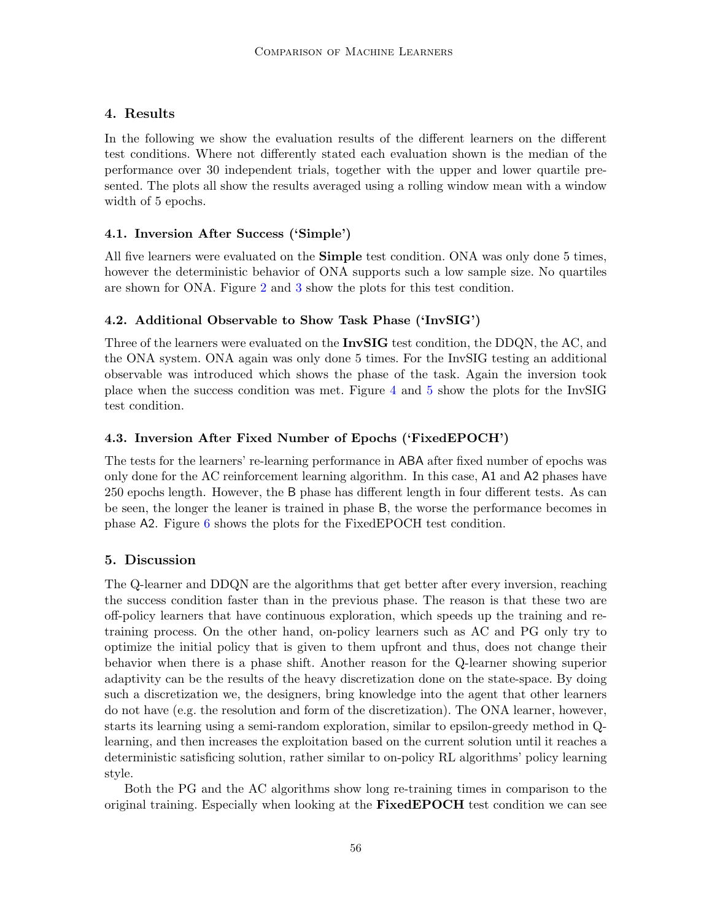# 4. Results

In the following we show the evaluation results of the different learners on the different test conditions. Where not differently stated each evaluation shown is the median of the performance over 30 independent trials, together with the upper and lower quartile presented. The plots all show the results averaged using a rolling window mean with a window width of 5 epochs.

# 4.1. Inversion After Success ('Simple')

All five learners were evaluated on the **Simple** test condition. ONA was only done 5 times, however the deterministic behavior of ONA supports such a low sample size. No quartiles are shown for ONA. Figure [2](#page-8-0) and [3](#page-8-1) show the plots for this test condition.

# 4.2. Additional Observable to Show Task Phase ('InvSIG')

Three of the learners were evaluated on the **InvSIG** test condition, the DDQN, the AC, and the ONA system. ONA again was only done 5 times. For the InvSIG testing an additional observable was introduced which shows the phase of the task. Again the inversion took place when the success condition was met. Figure [4](#page-9-0) and [5](#page-9-1) show the plots for the InvSIG test condition.

# 4.3. Inversion After Fixed Number of Epochs ('FixedEPOCH')

The tests for the learners' re-learning performance in ABA after fixed number of epochs was only done for the AC reinforcement learning algorithm. In this case, A1 and A2 phases have 250 epochs length. However, the B phase has different length in four different tests. As can be seen, the longer the leaner is trained in phase B, the worse the performance becomes in phase A2. Figure [6](#page-9-2) shows the plots for the FixedEPOCH test condition.

# 5. Discussion

The Q-learner and DDQN are the algorithms that get better after every inversion, reaching the success condition faster than in the previous phase. The reason is that these two are off-policy learners that have continuous exploration, which speeds up the training and retraining process. On the other hand, on-policy learners such as AC and PG only try to optimize the initial policy that is given to them upfront and thus, does not change their behavior when there is a phase shift. Another reason for the Q-learner showing superior adaptivity can be the results of the heavy discretization done on the state-space. By doing such a discretization we, the designers, bring knowledge into the agent that other learners do not have (e.g. the resolution and form of the discretization). The ONA learner, however, starts its learning using a semi-random exploration, similar to epsilon-greedy method in Qlearning, and then increases the exploitation based on the current solution until it reaches a deterministic satisficing solution, rather similar to on-policy RL algorithms' policy learning style.

Both the PG and the AC algorithms show long re-training times in comparison to the original training. Especially when looking at the FixedEPOCH test condition we can see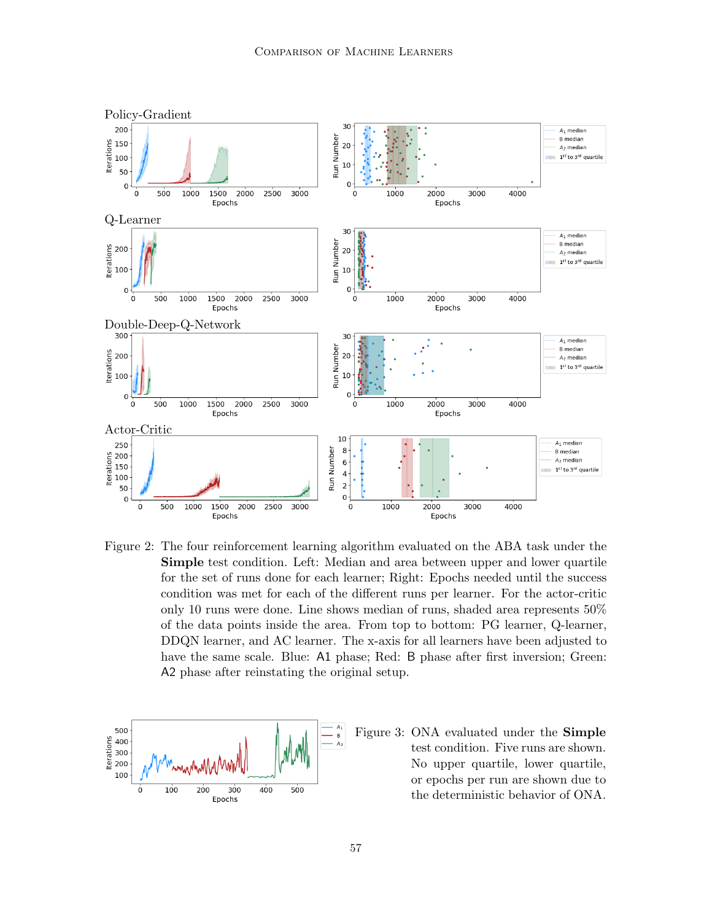

<span id="page-8-0"></span>Figure 2: The four reinforcement learning algorithm evaluated on the ABA task under the Simple test condition. Left: Median and area between upper and lower quartile for the set of runs done for each learner; Right: Epochs needed until the success condition was met for each of the different runs per learner. For the actor-critic only 10 runs were done. Line shows median of runs, shaded area represents 50% of the data points inside the area. From top to bottom: PG learner, Q-learner, DDQN learner, and AC learner. The x-axis for all learners have been adjusted to have the same scale. Blue: A1 phase; Red: B phase after first inversion; Green: A2 phase after reinstating the original setup.

<span id="page-8-1"></span>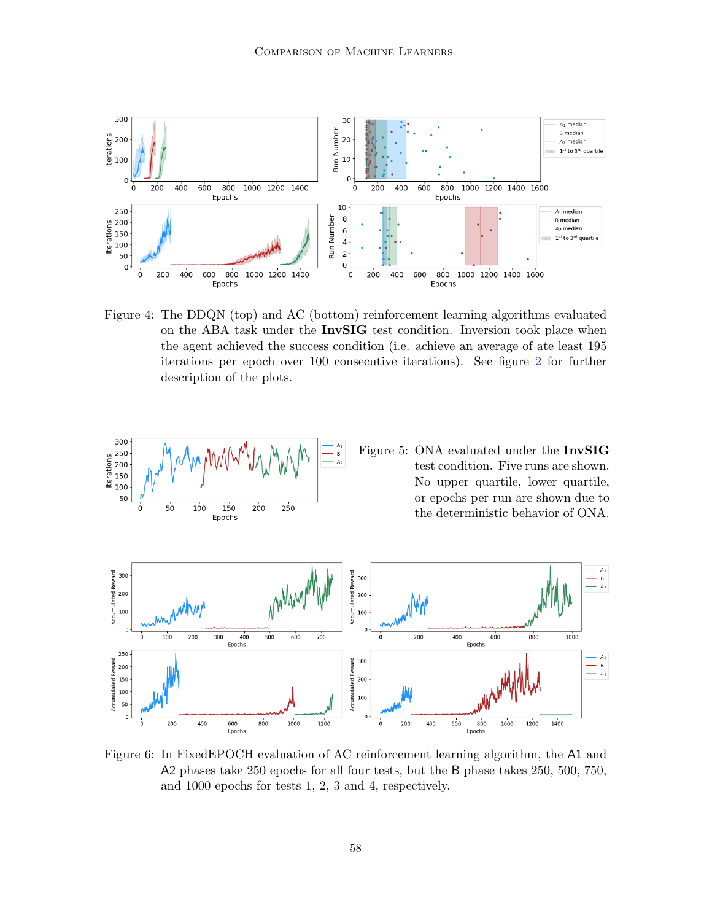

<span id="page-9-0"></span>Figure 4: The DDQN (top) and AC (bottom) reinforcement learning algorithms evaluated on the ABA task under the InvSIG test condition. Inversion took place when the agent achieved the success condition (i.e. achieve an average of ate least 195 iterations per epoch over 100 consecutive iterations). See figure [2](#page-8-0) for further description of the plots.

<span id="page-9-1"></span>

<span id="page-9-2"></span>Figure 6: In FixedEPOCH evaluation of AC reinforcement learning algorithm, the A1 and A2 phases take 250 epochs for all four tests, but the B phase takes 250, 500, 750, and 1000 epochs for tests 1, 2, 3 and 4, respectively.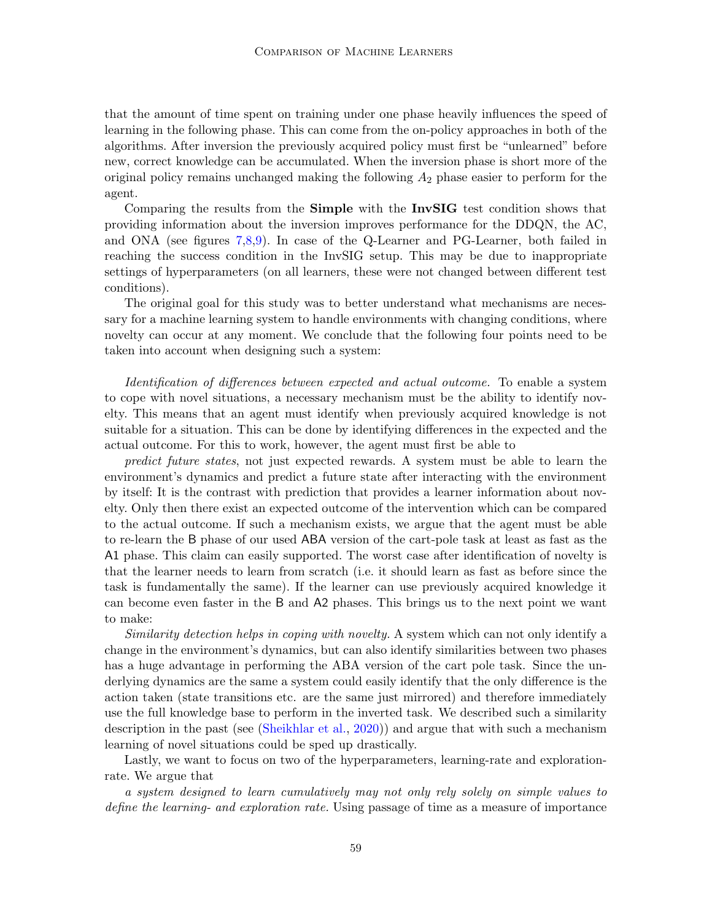that the amount of time spent on training under one phase heavily influences the speed of learning in the following phase. This can come from the on-policy approaches in both of the algorithms. After inversion the previously acquired policy must first be "unlearned" before new, correct knowledge can be accumulated. When the inversion phase is short more of the original policy remains unchanged making the following  $A_2$  phase easier to perform for the agent.

Comparing the results from the Simple with the InvSIG test condition shows that providing information about the inversion improves performance for the DDQN, the AC, and ONA (see figures [7](#page-11-0)[,8,](#page-11-1)[9\)](#page-12-0). In case of the Q-Learner and PG-Learner, both failed in reaching the success condition in the InvSIG setup. This may be due to inappropriate settings of hyperparameters (on all learners, these were not changed between different test conditions).

The original goal for this study was to better understand what mechanisms are necessary for a machine learning system to handle environments with changing conditions, where novelty can occur at any moment. We conclude that the following four points need to be taken into account when designing such a system:

Identification of differences between expected and actual outcome. To enable a system to cope with novel situations, a necessary mechanism must be the ability to identify novelty. This means that an agent must identify when previously acquired knowledge is not suitable for a situation. This can be done by identifying differences in the expected and the actual outcome. For this to work, however, the agent must first be able to

predict future states, not just expected rewards. A system must be able to learn the environment's dynamics and predict a future state after interacting with the environment by itself: It is the contrast with prediction that provides a learner information about novelty. Only then there exist an expected outcome of the intervention which can be compared to the actual outcome. If such a mechanism exists, we argue that the agent must be able to re-learn the B phase of our used ABA version of the cart-pole task at least as fast as the A1 phase. This claim can easily supported. The worst case after identification of novelty is that the learner needs to learn from scratch (i.e. it should learn as fast as before since the task is fundamentally the same). If the learner can use previously acquired knowledge it can become even faster in the B and A2 phases. This brings us to the next point we want to make:

Similarity detection helps in coping with novelty. A system which can not only identify a change in the environment's dynamics, but can also identify similarities between two phases has a huge advantage in performing the ABA version of the cart pole task. Since the underlying dynamics are the same a system could easily identify that the only difference is the action taken (state transitions etc. are the same just mirrored) and therefore immediately use the full knowledge base to perform in the inverted task. We described such a similarity description in the past (see [\(Sheikhlar et al.,](#page-14-4) [2020\)](#page-14-4)) and argue that with such a mechanism learning of novel situations could be sped up drastically.

Lastly, we want to focus on two of the hyperparameters, learning-rate and explorationrate. We argue that

a system designed to learn cumulatively may not only rely solely on simple values to define the learning- and exploration rate. Using passage of time as a measure of importance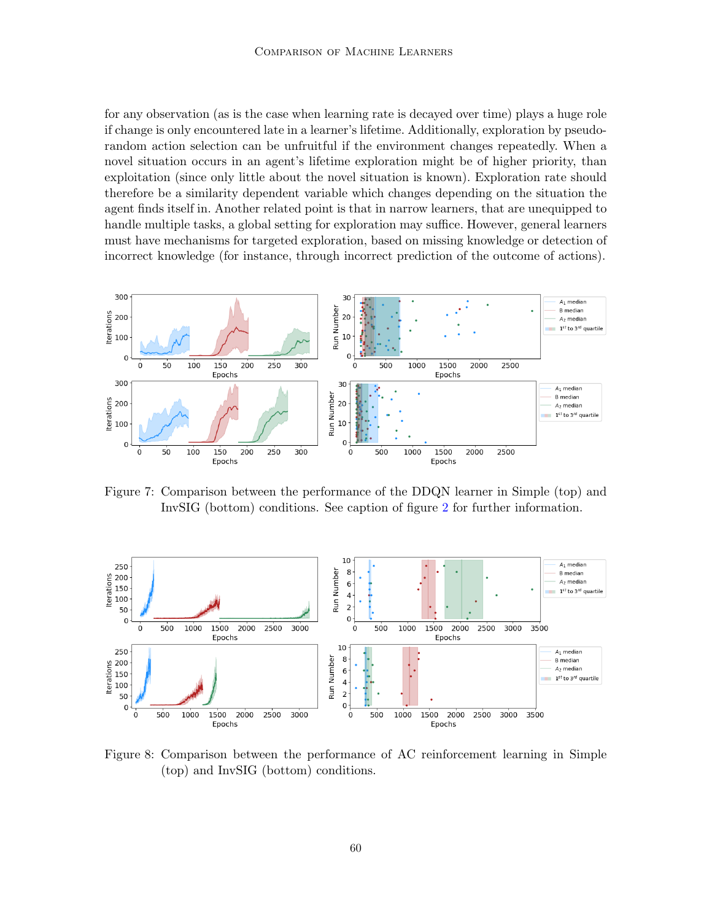for any observation (as is the case when learning rate is decayed over time) plays a huge role if change is only encountered late in a learner's lifetime. Additionally, exploration by pseudorandom action selection can be unfruitful if the environment changes repeatedly. When a novel situation occurs in an agent's lifetime exploration might be of higher priority, than exploitation (since only little about the novel situation is known). Exploration rate should therefore be a similarity dependent variable which changes depending on the situation the agent finds itself in. Another related point is that in narrow learners, that are unequipped to handle multiple tasks, a global setting for exploration may suffice. However, general learners must have mechanisms for targeted exploration, based on missing knowledge or detection of incorrect knowledge (for instance, through incorrect prediction of the outcome of actions).



<span id="page-11-0"></span>Figure 7: Comparison between the performance of the DDQN learner in Simple (top) and InvSIG (bottom) conditions. See caption of figure [2](#page-8-0) for further information.



<span id="page-11-1"></span>Figure 8: Comparison between the performance of AC reinforcement learning in Simple (top) and InvSIG (bottom) conditions.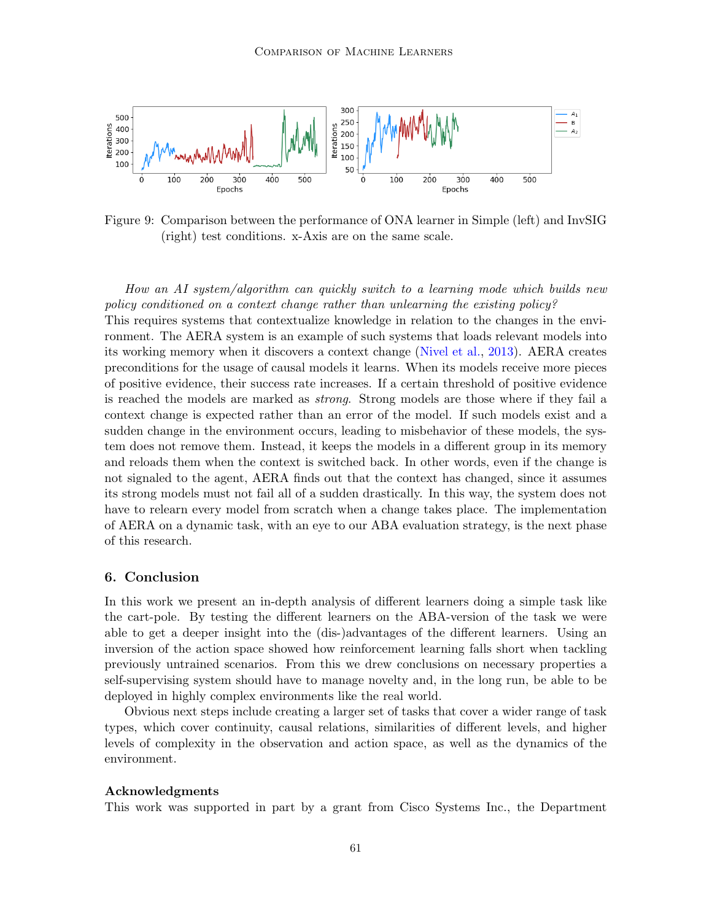

<span id="page-12-0"></span>Figure 9: Comparison between the performance of ONA learner in Simple (left) and InvSIG (right) test conditions. x-Axis are on the same scale.

How an AI system/algorithm can quickly switch to a learning mode which builds new policy conditioned on a context change rather than unlearning the existing policy? This requires systems that contextualize knowledge in relation to the changes in the envi-

ronment. The AERA system is an example of such systems that loads relevant models into its working memory when it discovers a context change [\(Nivel et al.,](#page-13-2) [2013\)](#page-13-2). AERA creates preconditions for the usage of causal models it learns. When its models receive more pieces of positive evidence, their success rate increases. If a certain threshold of positive evidence is reached the models are marked as strong. Strong models are those where if they fail a context change is expected rather than an error of the model. If such models exist and a sudden change in the environment occurs, leading to misbehavior of these models, the system does not remove them. Instead, it keeps the models in a different group in its memory and reloads them when the context is switched back. In other words, even if the change is not signaled to the agent, AERA finds out that the context has changed, since it assumes its strong models must not fail all of a sudden drastically. In this way, the system does not have to relearn every model from scratch when a change takes place. The implementation of AERA on a dynamic task, with an eye to our ABA evaluation strategy, is the next phase of this research.

#### 6. Conclusion

In this work we present an in-depth analysis of different learners doing a simple task like the cart-pole. By testing the different learners on the ABA-version of the task we were able to get a deeper insight into the (dis-)advantages of the different learners. Using an inversion of the action space showed how reinforcement learning falls short when tackling previously untrained scenarios. From this we drew conclusions on necessary properties a self-supervising system should have to manage novelty and, in the long run, be able to be deployed in highly complex environments like the real world.

Obvious next steps include creating a larger set of tasks that cover a wider range of task types, which cover continuity, causal relations, similarities of different levels, and higher levels of complexity in the observation and action space, as well as the dynamics of the environment.

#### Acknowledgments

This work was supported in part by a grant from Cisco Systems Inc., the Department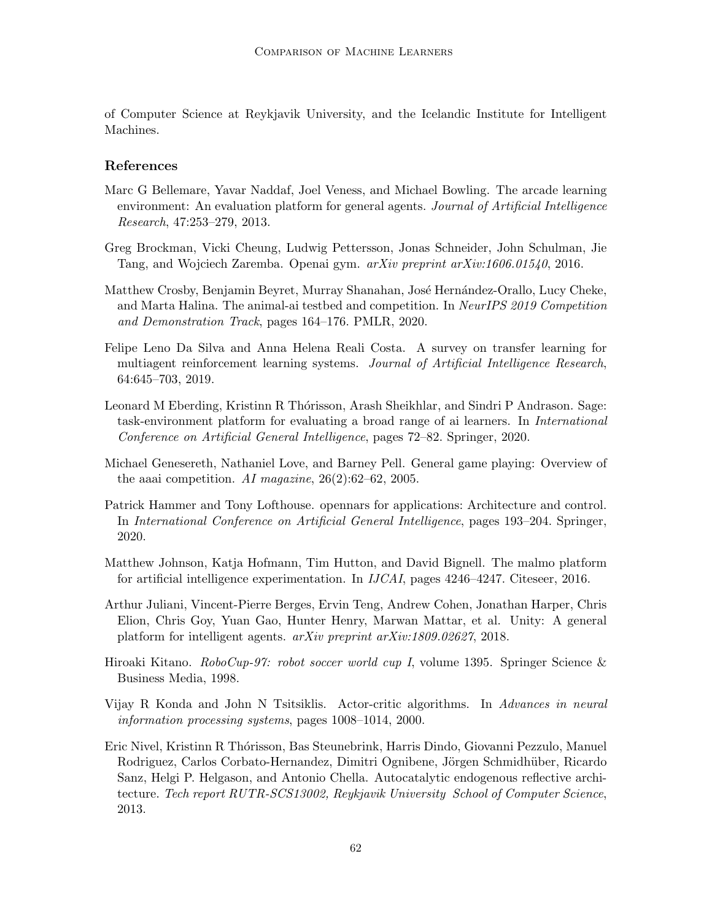of Computer Science at Reykjavik University, and the Icelandic Institute for Intelligent Machines.

### References

- <span id="page-13-5"></span>Marc G Bellemare, Yavar Naddaf, Joel Veness, and Michael Bowling. The arcade learning environment: An evaluation platform for general agents. Journal of Artificial Intelligence Research, 47:253–279, 2013.
- <span id="page-13-9"></span>Greg Brockman, Vicki Cheung, Ludwig Pettersson, Jonas Schneider, John Schulman, Jie Tang, and Wojciech Zaremba. Openai gym. arXiv preprint arXiv:1606.01540, 2016.
- <span id="page-13-8"></span>Matthew Crosby, Benjamin Beyret, Murray Shanahan, José Hernández-Orallo, Lucy Cheke, and Marta Halina. The animal-ai testbed and competition. In NeurIPS 2019 Competition and Demonstration Track, pages 164–176. PMLR, 2020.
- <span id="page-13-1"></span>Felipe Leno Da Silva and Anna Helena Reali Costa. A survey on transfer learning for multiagent reinforcement learning systems. Journal of Artificial Intelligence Research, 64:645–703, 2019.
- <span id="page-13-0"></span>Leonard M Eberding, Kristinn R Thórisson, Arash Sheikhlar, and Sindri P Andrason. Sage: task-environment platform for evaluating a broad range of ai learners. In International Conference on Artificial General Intelligence, pages 72–82. Springer, 2020.
- <span id="page-13-3"></span>Michael Genesereth, Nathaniel Love, and Barney Pell. General game playing: Overview of the aaai competition. AI magazine,  $26(2):62-62$ ,  $2005$ .
- <span id="page-13-11"></span>Patrick Hammer and Tony Lofthouse. opennars for applications: Architecture and control. In International Conference on Artificial General Intelligence, pages 193–204. Springer, 2020.
- <span id="page-13-6"></span>Matthew Johnson, Katja Hofmann, Tim Hutton, and David Bignell. The malmo platform for artificial intelligence experimentation. In IJCAI, pages 4246–4247. Citeseer, 2016.
- <span id="page-13-7"></span>Arthur Juliani, Vincent-Pierre Berges, Ervin Teng, Andrew Cohen, Jonathan Harper, Chris Elion, Chris Goy, Yuan Gao, Hunter Henry, Marwan Mattar, et al. Unity: A general platform for intelligent agents. arXiv preprint arXiv:1809.02627, 2018.
- <span id="page-13-4"></span>Hiroaki Kitano. RoboCup-97: robot soccer world cup I, volume 1395. Springer Science & Business Media, 1998.
- <span id="page-13-10"></span>Vijay R Konda and John N Tsitsiklis. Actor-critic algorithms. In Advances in neural information processing systems, pages 1008–1014, 2000.
- <span id="page-13-2"></span>Eric Nivel, Kristinn R Th´orisson, Bas Steunebrink, Harris Dindo, Giovanni Pezzulo, Manuel Rodriguez, Carlos Corbato-Hernandez, Dimitri Ognibene, Jörgen Schmidhüber, Ricardo Sanz, Helgi P. Helgason, and Antonio Chella. Autocatalytic endogenous reflective architecture. Tech report RUTR-SCS13002, Reykjavik University School of Computer Science, 2013.